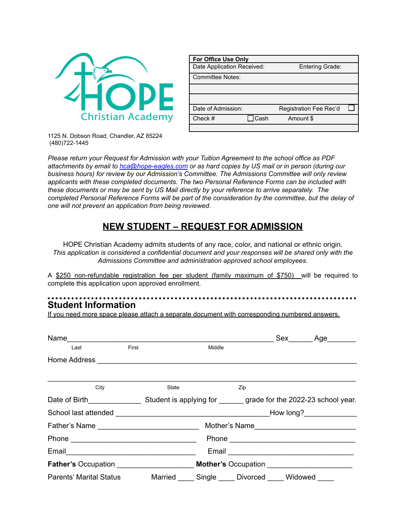

| <b>For Office Use Only</b> |             |                        |  |
|----------------------------|-------------|------------------------|--|
| Date Application Received: |             | Entering Grade:        |  |
| <b>Committee Notes:</b>    |             |                        |  |
|                            |             |                        |  |
|                            |             |                        |  |
| Date of Admission:         |             | Registration Fee Rec'd |  |
| Check #                    | $\Box$ Cash | Amount \$              |  |
|                            |             |                        |  |

1125 N. Dobson Road, Chandler, AZ 85224 (480)722-1445

*Please return your Request for Admission with your Tuition Agreement to the school office as PDF attachments by email to [hca@hope-eagles.com](mailto:hca@hope-eagles.com) or as hard copies by US mail or in person (during our business hours) for review by our Admission's Committee. The Admissions Committee will only review applicants with these completed documents. The two Personal Reference Forms can be included with these documents or may be sent by US Mail directly by your reference to arrive separately. The completed Personal Reference Forms will be part of the consideration by the committee, but the delay of one will not prevent an application from being reviewed.*

## **NEW STUDENT – REQUEST FOR ADMISSION**

HOPE Christian Academy admits students of any race, color, and national or ethnic origin. *This application is considered a confidential document and your responses will be shared only with the Admissions Committee and administration approved school employees.*

A \$250 non-refundable registration fee per student (family maximum of \$750) will be required to complete this application upon approved enrollment.

# **Student Information**

If you need more space please attach a separate document with corresponding numbered answers.

| Name                                                                                                           |       |       |        |     | Sex Age                                                                                                        |
|----------------------------------------------------------------------------------------------------------------|-------|-------|--------|-----|----------------------------------------------------------------------------------------------------------------|
| Last                                                                                                           | First |       | Middle |     |                                                                                                                |
|                                                                                                                |       |       |        |     |                                                                                                                |
|                                                                                                                |       |       |        |     |                                                                                                                |
| City                                                                                                           |       | State |        | Zip |                                                                                                                |
| Date of Birth Student is applying for grade for the 2022-23 school year.                                       |       |       |        |     |                                                                                                                |
|                                                                                                                |       |       |        |     |                                                                                                                |
|                                                                                                                |       |       |        |     |                                                                                                                |
|                                                                                                                |       |       |        |     |                                                                                                                |
| Email 2008 - 2008 - 2010 - 2010 - 2010 - 2011 - 2012 - 2014 - 2016 - 2017 - 2018 - 2019 - 2010 - 2011 - 2011 - |       |       |        |     | Email 2008 2009 2010 2021 2022 2023 2024 2022 2022 2023 2024 2022 2023 2024 2022 2023 2024 2022 2023 2024 2025 |
|                                                                                                                |       |       |        |     |                                                                                                                |
| Parents' Marital Status Married Single Divorced Widowed                                                        |       |       |        |     |                                                                                                                |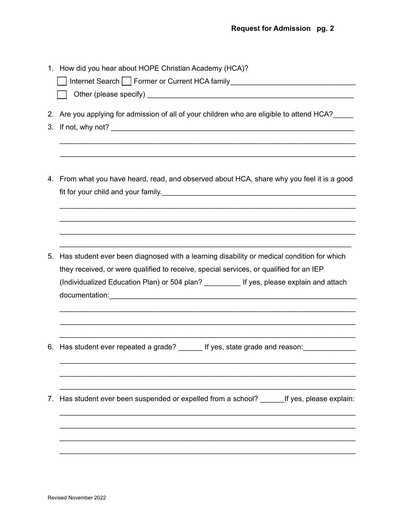|                   | 1. How did you hear about HOPE Christian Academy (HCA)?<br>Internet Search Former or Current HCA family<br>1990 - The Manus Manus Manus Manus Manus Manus Manus Manus Manus Manus Manus Manus Manus Manus Manus Manus Ma                                                         |
|-------------------|----------------------------------------------------------------------------------------------------------------------------------------------------------------------------------------------------------------------------------------------------------------------------------|
| $2_{\cdot}$<br>3. | Are you applying for admission of all of your children who are eligible to attend HCA?                                                                                                                                                                                           |
|                   | 4. From what you have heard, read, and observed about HCA, share why you feel it is a good                                                                                                                                                                                       |
| 5.                | Has student ever been diagnosed with a learning disability or medical condition for which<br>they received, or were qualified to receive, special services, or qualified for an IEP<br>(Individualized Education Plan) or 504 plan? __________ If yes, please explain and attach |
| 6.                | Has student ever repeated a grade? _______ If yes, state grade and reason: ____________                                                                                                                                                                                          |
| 7.                | Has student ever been suspended or expelled from a school? _______ If yes, please explain:                                                                                                                                                                                       |
|                   |                                                                                                                                                                                                                                                                                  |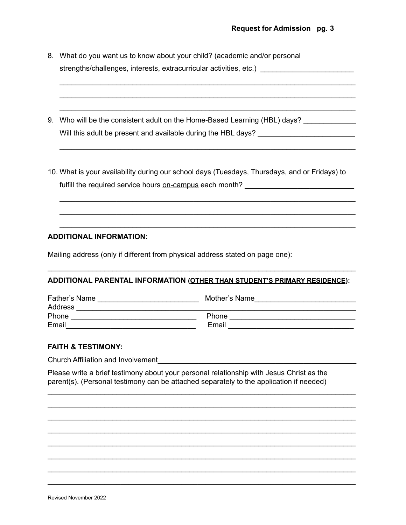8. What do you want us to know about your child? (academic and/or personal strengths/challenges, interests, extracurricular activities, etc.) \_\_\_\_\_\_\_\_\_\_\_\_\_\_

\_\_\_\_\_\_\_\_\_\_\_\_\_\_\_\_\_\_\_\_\_\_\_\_\_\_\_\_\_\_\_\_\_\_\_\_\_\_\_\_\_\_\_\_\_\_\_\_\_\_\_\_\_\_\_\_\_\_\_\_\_\_\_\_\_\_\_\_\_\_\_\_\_ \_\_\_\_\_\_\_\_\_\_\_\_\_\_\_\_\_\_\_\_\_\_\_\_\_\_\_\_\_\_\_\_\_\_\_\_\_\_\_\_\_\_\_\_\_\_\_\_\_\_\_\_\_\_\_\_\_\_\_\_\_\_\_\_\_\_\_\_\_\_\_\_\_ \_\_\_\_\_\_\_\_\_\_\_\_\_\_\_\_\_\_\_\_\_\_\_\_\_\_\_\_\_\_\_\_\_\_\_\_\_\_\_\_\_\_\_\_\_\_\_\_\_\_\_\_\_\_\_\_\_\_\_\_\_\_\_\_\_\_\_\_\_\_\_\_\_

\_\_\_\_\_\_\_\_\_\_\_\_\_\_\_\_\_\_\_\_\_\_\_\_\_\_\_\_\_\_\_\_\_\_\_\_\_\_\_\_\_\_\_\_\_\_\_\_\_\_\_\_\_\_\_\_\_\_\_\_\_\_\_\_\_\_\_\_\_\_\_\_\_

\_\_\_\_\_\_\_\_\_\_\_\_\_\_\_\_\_\_\_\_\_\_\_\_\_\_\_\_\_\_\_\_\_\_\_\_\_\_\_\_\_\_\_\_\_\_\_\_\_\_\_\_\_\_\_\_\_\_\_\_\_\_\_\_\_\_\_\_\_\_\_\_\_ \_\_\_\_\_\_\_\_\_\_\_\_\_\_\_\_\_\_\_\_\_\_\_\_\_\_\_\_\_\_\_\_\_\_\_\_\_\_\_\_\_\_\_\_\_\_\_\_\_\_\_\_\_\_\_\_\_\_\_\_\_\_\_\_\_\_\_\_\_\_\_\_\_ \_\_\_\_\_\_\_\_\_\_\_\_\_\_\_\_\_\_\_\_\_\_\_\_\_\_\_\_\_\_\_\_\_\_\_\_\_\_\_\_\_\_\_\_\_\_\_\_\_\_\_\_\_\_\_\_\_\_\_\_\_\_\_\_\_\_\_\_\_\_\_\_\_

- 9. Who will be the consistent adult on the Home-Based Learning (HBL) days? Will this adult be present and available during the HBL days? \_\_\_\_\_\_\_\_\_\_\_\_\_\_\_\_\_\_\_
- 10. What is your availability during our school days (Tuesdays, Thursdays, and or Fridays) to fulfill the required service hours on-campus each month? \_\_\_\_\_\_\_\_\_\_\_\_\_\_\_\_\_\_\_\_\_\_\_

### **ADDITIONAL INFORMATION:**

Mailing address (only if different from physical address stated on page one):

### **ADDITIONAL PARENTAL INFORMATION (OTHER THAN STUDENT'S PRIMARY RESIDENCE):**

\_\_\_\_\_\_\_\_\_\_\_\_\_\_\_\_\_\_\_\_\_\_\_\_\_\_\_\_\_\_\_\_\_\_\_\_\_\_\_\_\_\_\_\_\_\_\_\_\_\_\_\_\_\_\_\_\_\_\_\_\_\_\_\_\_\_\_\_\_\_\_\_\_\_\_\_

| Father's Name | Mother's Name |
|---------------|---------------|
| Address       |               |
| <b>Phone</b>  | Phone         |
| Email         | Email         |

#### **FAITH & TESTIMONY:**

Church Affiliation and Involvement\_\_\_\_\_\_\_\_\_\_\_\_\_\_\_\_\_\_\_\_\_\_\_\_\_\_\_\_\_\_\_\_\_\_\_\_\_\_\_\_\_\_\_\_\_\_\_\_\_

Please write a brief testimony about your personal relationship with Jesus Christ as the parent(s). (Personal testimony can be attached separately to the application if needed)

\_\_\_\_\_\_\_\_\_\_\_\_\_\_\_\_\_\_\_\_\_\_\_\_\_\_\_\_\_\_\_\_\_\_\_\_\_\_\_\_\_\_\_\_\_\_\_\_\_\_\_\_\_\_\_\_\_\_\_\_\_\_\_\_\_\_\_\_\_\_\_\_\_\_\_\_ \_\_\_\_\_\_\_\_\_\_\_\_\_\_\_\_\_\_\_\_\_\_\_\_\_\_\_\_\_\_\_\_\_\_\_\_\_\_\_\_\_\_\_\_\_\_\_\_\_\_\_\_\_\_\_\_\_\_\_\_\_\_\_\_\_\_\_\_\_\_\_\_\_\_\_\_ \_\_\_\_\_\_\_\_\_\_\_\_\_\_\_\_\_\_\_\_\_\_\_\_\_\_\_\_\_\_\_\_\_\_\_\_\_\_\_\_\_\_\_\_\_\_\_\_\_\_\_\_\_\_\_\_\_\_\_\_\_\_\_\_\_\_\_\_\_\_\_\_\_\_\_\_ \_\_\_\_\_\_\_\_\_\_\_\_\_\_\_\_\_\_\_\_\_\_\_\_\_\_\_\_\_\_\_\_\_\_\_\_\_\_\_\_\_\_\_\_\_\_\_\_\_\_\_\_\_\_\_\_\_\_\_\_\_\_\_\_\_\_\_\_\_\_\_\_\_\_\_\_ \_\_\_\_\_\_\_\_\_\_\_\_\_\_\_\_\_\_\_\_\_\_\_\_\_\_\_\_\_\_\_\_\_\_\_\_\_\_\_\_\_\_\_\_\_\_\_\_\_\_\_\_\_\_\_\_\_\_\_\_\_\_\_\_\_\_\_\_\_\_\_\_\_\_\_\_ \_\_\_\_\_\_\_\_\_\_\_\_\_\_\_\_\_\_\_\_\_\_\_\_\_\_\_\_\_\_\_\_\_\_\_\_\_\_\_\_\_\_\_\_\_\_\_\_\_\_\_\_\_\_\_\_\_\_\_\_\_\_\_\_\_\_\_\_\_\_\_\_\_\_\_\_ \_\_\_\_\_\_\_\_\_\_\_\_\_\_\_\_\_\_\_\_\_\_\_\_\_\_\_\_\_\_\_\_\_\_\_\_\_\_\_\_\_\_\_\_\_\_\_\_\_\_\_\_\_\_\_\_\_\_\_\_\_\_\_\_\_\_\_\_\_\_\_\_\_\_\_\_ \_\_\_\_\_\_\_\_\_\_\_\_\_\_\_\_\_\_\_\_\_\_\_\_\_\_\_\_\_\_\_\_\_\_\_\_\_\_\_\_\_\_\_\_\_\_\_\_\_\_\_\_\_\_\_\_\_\_\_\_\_\_\_\_\_\_\_\_\_\_\_\_\_\_\_\_